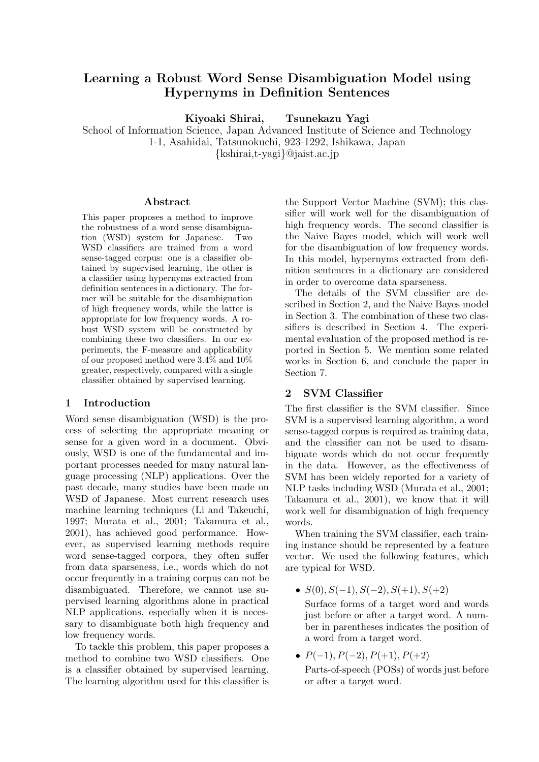# **Learning a Robust Word Sense Disambiguation Model using Hypernyms in Definition Sentences**

**Kiyoaki Shirai, Tsunekazu Yagi**

School of Information Science, Japan Advanced Institute of Science and Technology 1-1, Asahidai, Tatsunokuchi, 923-1292, Ishikawa, Japan {kshirai,t-yagi}@jaist.ac.jp

### **Abstract**

This paper proposes a method to improve the robustness of a word sense disambiguation (WSD) system for Japanese. Two WSD classifiers are trained from a word sense-tagged corpus: one is a classifier obtained by supervised learning, the other is a classifier using hypernyms extracted from definition sentences in a dictionary. The former will be suitable for the disambiguation of high frequency words, while the latter is appropriate for low frequency words. A robust WSD system will be constructed by combining these two classifiers. In our experiments, the F-measure and applicability of our proposed method were 3.4% and 10% greater, respectively, compared with a single classifier obtained by supervised learning.

# **1 Introduction**

Word sense disambiguation (WSD) is the process of selecting the appropriate meaning or sense for a given word in a document. Obviously, WSD is one of the fundamental and important processes needed for many natural language processing (NLP) applications. Over the past decade, many studies have been made on WSD of Japanese. Most current research uses machine learning techniques (Li and Takeuchi, 1997; Murata et al., 2001; Takamura et al., 2001), has achieved good performance. However, as supervised learning methods require word sense-tagged corpora, they often suffer from data sparseness, i.e., words which do not occur frequently in a training corpus can not be disambiguated. Therefore, we cannot use supervised learning algorithms alone in practical NLP applications, especially when it is necessary to disambiguate both high frequency and low frequency words.

To tackle this problem, this paper proposes a method to combine two WSD classifiers. One is a classifier obtained by supervised learning. The learning algorithm used for this classifier is

the Support Vector Machine (SVM); this classifier will work well for the disambiguation of high frequency words. The second classifier is the Naive Bayes model, which will work well for the disambiguation of low frequency words. In this model, hypernyms extracted from definition sentences in a dictionary are considered in order to overcome data sparseness.

The details of the SVM classifier are described in Section 2, and the Naive Bayes model in Section 3. The combination of these two classifiers is described in Section 4. The experimental evaluation of the proposed method is reported in Section 5. We mention some related works in Section 6, and conclude the paper in Section 7.

## **2 SVM Classifier**

The first classifier is the SVM classifier. Since SVM is a supervised learning algorithm, a word sense-tagged corpus is required as training data, and the classifier can not be used to disambiguate words which do not occur frequently in the data. However, as the effectiveness of SVM has been widely reported for a variety of NLP tasks including WSD (Murata et al., 2001; Takamura et al., 2001), we know that it will work well for disambiguation of high frequency words.

When training the SVM classifier, each training instance should be represented by a feature vector. We used the following features, which are typical for WSD.

•  $S(0), S(-1), S(-2), S(+1), S(+2)$ 

Surface forms of a target word and words just before or after a target word. A number in parentheses indicates the position of a word from a target word.

•  $P(-1)$ ,  $P(-2)$ ,  $P(+1)$ ,  $P(+2)$ Parts-of-speech (POSs) of words just before or after a target word.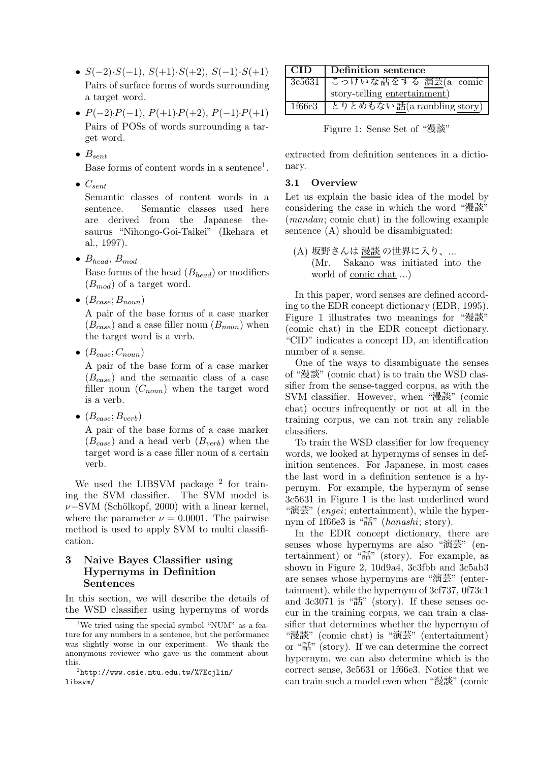- $S(-2) \cdot S(-1)$ ,  $S(+1) \cdot S(+2)$ ,  $S(-1) \cdot S(+1)$ Pairs of surface forms of words surrounding a target word.
- $P(-2) \cdot P(-1)$ ,  $P(+1) \cdot P(+2)$ ,  $P(-1) \cdot P(+1)$ Pairs of POSs of words surrounding a target word.
- $\bullet$   $B_{sent}$

Base forms of content words in a sentence<sup>1</sup>.

• C*sent*

Semantic classes of content words in a sentence. Semantic classes used here are derived from the Japanese thesaurus "Nihongo-Goi-Taikei" (Ikehara et al., 1997).

• B*head*, B*mod*

Base forms of the head (B*head*) or modifiers (B*mod*) of a target word.

 $\bullet$   $(B_{case}; B_{noun})$ 

A pair of the base forms of a case marker  $(B<sub>case</sub>)$  and a case filler noun  $(B<sub>noun</sub>)$  when the target word is a verb.

 $\bullet$   $(B_{case}; C_{noun})$ 

A pair of the base form of a case marker (B*case*) and the semantic class of a case filler noun (C*noun*) when the target word is a verb.

 $\bullet$   $(B_{case}; B_{verb})$ 

A pair of the base forms of a case marker (B*case*) and a head verb (B*verb*) when the target word is a case filler noun of a certain verb.

We used the LIBSVM package  $2$  for training the SVM classifier. The SVM model is  $\nu$ −SVM (Schölkopf, 2000) with a linear kernel, where the parameter  $\nu = 0.0001$ . The pairwise method is used to apply SVM to multi classification.

# **3 Naive Bayes Classifier using Hypernyms in Definition Sentences**

In this section, we will describe the details of the WSD classifier using hypernyms of words

| <b>CID</b> | Definition sentence          |  |  |  |  |
|------------|------------------------------|--|--|--|--|
| 3c5631     | こっけいな話をする 演芸(a_comic         |  |  |  |  |
|            | story-telling entertainment) |  |  |  |  |
| 1f66e3     | とりとめもない話(a rambling story)   |  |  |  |  |

Figure 1: Sense Set of "漫談"

extracted from definition sentences in a dictionary.

## **3.1 Overview**

Let us explain the basic idea of the model by considering the case in which the word "漫談" (*mandan*; comic chat) in the following example sentence (A) should be disambiguated:

(A) 坂野さんは 漫談 の世界に入り、... (Mr. Sakano was initiated into the world of comic chat ...)

In this paper, word senses are defined according to the EDR concept dictionary (EDR, 1995). Figure 1 illustrates two meanings for "漫談" (comic chat) in the EDR concept dictionary. "CID" indicates a concept ID, an identification number of a sense.

One of the ways to disambiguate the senses of "漫談" (comic chat) is to train the WSD classifier from the sense-tagged corpus, as with the SVM classifier. However, when "漫談" (comic chat) occurs infrequently or not at all in the training corpus, we can not train any reliable classifiers.

To train the WSD classifier for low frequency words, we looked at hypernyms of senses in definition sentences. For Japanese, in most cases the last word in a definition sentence is a hypernym. For example, the hypernym of sense 3c5631 in Figure 1 is the last underlined word "演芸" (*engei*; entertainment), while the hypernym of 1f66e3 is "話" (*hanashi*; story).

In the EDR concept dictionary, there are senses whose hypernyms are also "演芸" (entertainment) or "話" (story). For example, as shown in Figure 2, 10d9a4, 3c3fbb and 3c5ab3 are senses whose hypernyms are "演芸" (entertainment), while the hypernym of 3cf737, 0f73c1 and 3c3071 is "話" (story). If these senses occur in the training corpus, we can train a classifier that determines whether the hypernym of "漫談" (comic chat) is "演芸" (entertainment) or "話" (story). If we can determine the correct hypernym, we can also determine which is the correct sense, 3c5631 or 1f66e3. Notice that we can train such a model even when "漫談" (comic

<sup>&</sup>lt;sup>1</sup>We tried using the special symbol "NUM" as a feature for any numbers in a sentence, but the performance was slightly worse in our experiment. We thank the anonymous reviewer who gave us the comment about this.

 $^{2}$ http://www.csie.ntu.edu.tw/%7Ecjlin/ libsvm/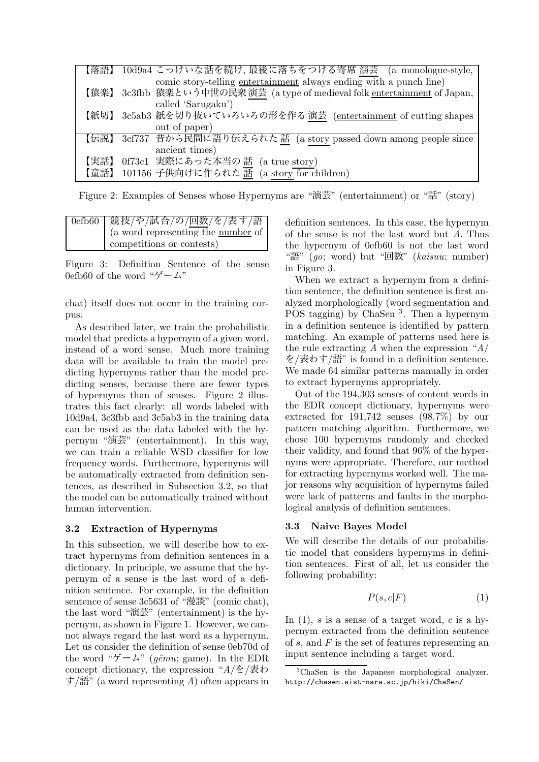| 【落語】 | 10d9a4 こっけいな話を続け、最後に落ちをつける寄席 演芸 (a monologue-style,                  |
|------|----------------------------------------------------------------------|
|      | comic story-telling entertainment always ending with a punch line)   |
| 【猿楽】 | 3c3fbb 猿楽という中世の民衆演芸 (a type of medieval folk entertainment of Japan, |
|      | called 'Sarugaku')                                                   |
| 【紙切】 | 3c5ab3 紙を切り抜いていろいろの形を作る 演芸 (entertainment of cutting shapes          |
|      | out of paper)                                                        |
| 【伝説】 | 3cf737 昔から民間に語り伝えられた 話 (a story passed down among people since       |
|      | ancient times)                                                       |
| 【実話】 | 0f73c1 実際にあった本当の話<br>(a true story)                                  |
| 【童話】 | 101156 子供向けに作られた 話 (a story for children)                            |

Figure 2: Examples of Senses whose Hypernyms are "演芸" (entertainment) or "話" (story)

| 0efb60   競技/や/試合/の/回数/を/表す/語       |
|------------------------------------|
| (a word representing the number of |
| competitions or contests)          |

Figure 3: Definition Sentence of the sense 0efb60 of the word " $\ddot{\mathcal{F}} - \mathcal{L}$ "

chat) itself does not occur in the training corpus.

As described later, we train the probabilistic model that predicts a hypernym of a given word, instead of a word sense. Much more training data will be available to train the model predicting hypernyms rather than the model predicting senses, because there are fewer types of hypernyms than of senses. Figure 2 illustrates this fact clearly: all words labeled with 10d9a4, 3c3fbb and 3c5ab3 in the training data can be used as the data labeled with the hypernym "演芸" (entertainment). In this way, we can train a reliable WSD classifier for low frequency words. Furthermore, hypernyms will be automatically extracted from definition sentences, as described in Subsection 3.2, so that the model can be automatically trained without human intervention.

# **3.2 Extraction of Hypernyms**

In this subsection, we will describe how to extract hypernyms from definition sentences in a dictionary. In principle, we assume that the hypernym of a sense is the last word of a definition sentence. For example, in the definition sentence of sense 3c5631 of "漫談" (comic chat), the last word "演芸" (entertainment) is the hypernym, as shown in Figure 1. However, we cannot always regard the last word as a hypernym. Let us consider the definition of sense 0eb70d of the word " $\check{\mathcal{F}} - \mathcal{L}$ " (*gêmu*; game). In the EDR concept dictionary, the expression "*A*/を/表わ す/語" (a word representing *A*) often appears in definition sentences. In this case, the hypernym of the sense is not the last word but *A*. Thus the hypernym of 0efb60 is not the last word "語" (*go*; word) but "回数" (*kaisuu*; number) in Figure 3.

When we extract a hypernym from a definition sentence, the definition sentence is first analyzed morphologically (word segmentation and POS tagging) by ChaSen <sup>3</sup>. Then a hypernym in a definition sentence is identified by pattern matching. An example of patterns used here is the rule extracting *A* when the expression "*A*/ を/表わす/語" is found in a definition sentence. We made 64 similar patterns manually in order to extract hypernyms appropriately.

Out of the 194,303 senses of content words in the EDR concept dictionary, hypernyms were extracted for 191,742 senses (98.7%) by our pattern matching algorithm. Furthermore, we chose 100 hypernyms randomly and checked their validity, and found that 96% of the hypernyms were appropriate. Therefore, our method for extracting hypernyms worked well. The major reasons why acquisition of hypernyms failed were lack of patterns and faults in the morphological analysis of definition sentences.

# **3.3 Naive Bayes Model**

We will describe the details of our probabilistic model that considers hypernyms in definition sentences. First of all, let us consider the following probability:

$$
P(s,c|F) \tag{1}
$$

In  $(1)$ , s is a sense of a target word, c is a hypernym extracted from the definition sentence of s, and  $F$  is the set of features representing an input sentence including a target word.

<sup>3</sup>ChaSen is the Japanese morphological analyzer. http://chasen.aist-nara.ac.jp/hiki/ChaSen/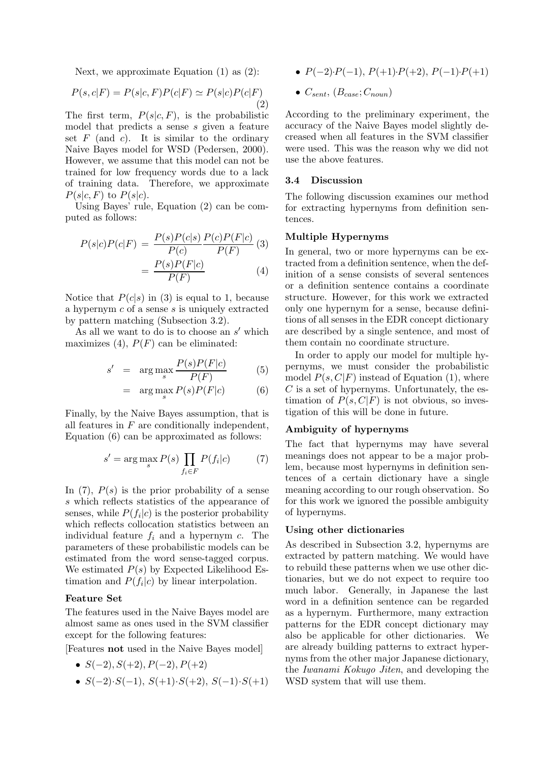Next, we approximate Equation (1) as (2):

$$
P(s,c|F) = P(s|c,F)P(c|F) \simeq P(s|c)P(c|F)
$$
\n(2)

The first term,  $P(s|c, F)$ , is the probabilistic model that predicts a sense s given a feature set  $F$  (and  $c$ ). It is similar to the ordinary Naive Bayes model for WSD (Pedersen, 2000). However, we assume that this model can not be trained for low frequency words due to a lack of training data. Therefore, we approximate  $P(s|c, F)$  to  $P(s|c)$ .

Using Bayes' rule, Equation (2) can be computed as follows:

$$
P(s|c)P(c|F) = \frac{P(s)P(c|s)}{P(c)} \frac{P(c)P(F|c)}{P(F)}
$$
(3)  

$$
= \frac{P(s)P(F|c)}{P(F)}
$$
(4)

Notice that  $P(c|s)$  in (3) is equal to 1, because a hypernym c of a sense s is uniquely extracted by pattern matching (Subsection 3.2).

As all we want to do is to choose an  $s'$  which maximizes (4),  $P(F)$  can be eliminated:

$$
s' = \arg\max_{s} \frac{P(s)P(F|c)}{P(F)} \tag{5}
$$

$$
= \arg \max_{s} P(s)P(F|c) \tag{6}
$$

Finally, by the Naive Bayes assumption, that is all features in  $F$  are conditionally independent, Equation (6) can be approximated as follows:

$$
s' = \arg\max_{s} P(s) \prod_{f_i \in F} P(f_i|c) \tag{7}
$$

In  $(7)$ ,  $P(s)$  is the prior probability of a sense s which reflects statistics of the appearance of senses, while  $P(f_i|c)$  is the posterior probability which reflects collocation statistics between an individual feature f*i* and a hypernym c. The parameters of these probabilistic models can be estimated from the word sense-tagged corpus. We estimated  $P(s)$  by Expected Likelihood Estimation and  $P(f_i|c)$  by linear interpolation.

## **Feature Set**

The features used in the Naive Bayes model are almost same as ones used in the SVM classifier except for the following features:

[Features **not** used in the Naive Bayes model]

• 
$$
S(-2), S(+2), P(-2), P(+2)
$$

•  $S(-2) \cdot S(-1)$ ,  $S(+1) \cdot S(+2)$ ,  $S(-1) \cdot S(+1)$ 

- $P(-2) \cdot P(-1)$ ,  $P(+1) \cdot P(+2)$ ,  $P(-1) \cdot P(+1)$
- $\bullet$   $C_{sent}$ ,  $(B_{case}; C_{noun})$

According to the preliminary experiment, the accuracy of the Naive Bayes model slightly decreased when all features in the SVM classifier were used. This was the reason why we did not use the above features.

#### **3.4 Discussion**

The following discussion examines our method for extracting hypernyms from definition sentences.

#### **Multiple Hypernyms**

In general, two or more hypernyms can be extracted from a definition sentence, when the definition of a sense consists of several sentences or a definition sentence contains a coordinate structure. However, for this work we extracted only one hypernym for a sense, because definitions of all senses in the EDR concept dictionary are described by a single sentence, and most of them contain no coordinate structure.

In order to apply our model for multiple hypernyms, we must consider the probabilistic model  $P(s, C|F)$  instead of Equation (1), where  $C$  is a set of hypernyms. Unfortunately, the estimation of  $P(s, C|F)$  is not obvious, so investigation of this will be done in future.

# **Ambiguity of hypernyms**

The fact that hypernyms may have several meanings does not appear to be a major problem, because most hypernyms in definition sentences of a certain dictionary have a single meaning according to our rough observation. So for this work we ignored the possible ambiguity of hypernyms.

#### **Using other dictionaries**

As described in Subsection 3.2, hypernyms are extracted by pattern matching. We would have to rebuild these patterns when we use other dictionaries, but we do not expect to require too much labor. Generally, in Japanese the last word in a definition sentence can be regarded as a hypernym. Furthermore, many extraction patterns for the EDR concept dictionary may also be applicable for other dictionaries. We are already building patterns to extract hypernyms from the other major Japanese dictionary, the *Iwanami Kokugo Jiten*, and developing the WSD system that will use them.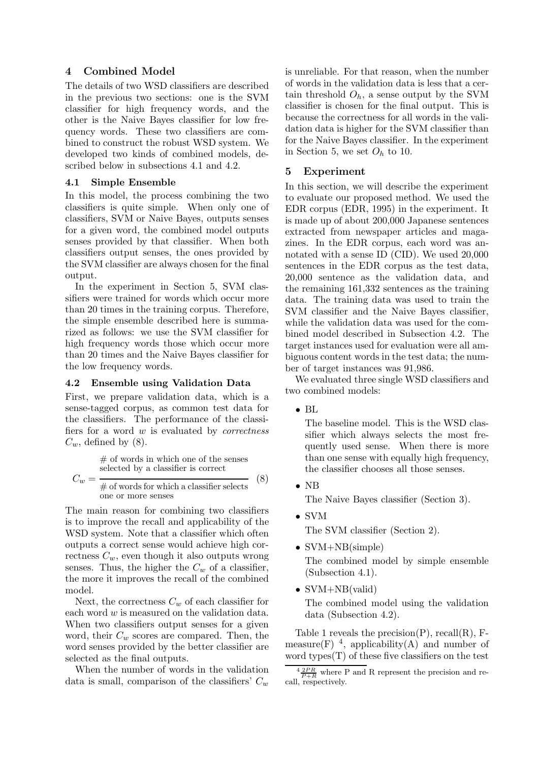# **4 Combined Model**

The details of two WSD classifiers are described in the previous two sections: one is the SVM classifier for high frequency words, and the other is the Naive Bayes classifier for low frequency words. These two classifiers are combined to construct the robust WSD system. We developed two kinds of combined models, described below in subsections 4.1 and 4.2.

### **4.1 Simple Ensemble**

In this model, the process combining the two classifiers is quite simple. When only one of classifiers, SVM or Naive Bayes, outputs senses for a given word, the combined model outputs senses provided by that classifier. When both classifiers output senses, the ones provided by the SVM classifier are always chosen for the final output.

In the experiment in Section 5, SVM classifiers were trained for words which occur more than 20 times in the training corpus. Therefore, the simple ensemble described here is summarized as follows: we use the SVM classifier for high frequency words those which occur more than 20 times and the Naive Bayes classifier for the low frequency words.

#### **4.2 Ensemble using Validation Data**

First, we prepare validation data, which is a sense-tagged corpus, as common test data for the classifiers. The performance of the classifiers for a word w is evaluated by *correctness*  $C_w$ , defined by (8).

> $#$  of words in which one of the senses selected by a classifier is correct

$$
C_w = \frac{1}{\text{# of words for which a classifier selects}} \quad (8)
$$
one or more senses

The main reason for combining two classifiers is to improve the recall and applicability of the WSD system. Note that a classifier which often outputs a correct sense would achieve high correctness  $C_w$ , even though it also outputs wrong senses. Thus, the higher the  $C_w$  of a classifier, the more it improves the recall of the combined model.

Next, the correctness  $C_w$  of each classifier for each word w is measured on the validation data. When two classifiers output senses for a given word, their C*w* scores are compared. Then, the word senses provided by the better classifier are selected as the final outputs.

When the number of words in the validation data is small, comparison of the classifiers' C*w*

is unreliable. For that reason, when the number of words in the validation data is less that a certain threshold  $O_h$ , a sense output by the SVM classifier is chosen for the final output. This is because the correctness for all words in the validation data is higher for the SVM classifier than for the Naive Bayes classifier. In the experiment in Section 5, we set  $O_h$  to 10.

# **5 Experiment**

In this section, we will describe the experiment to evaluate our proposed method. We used the EDR corpus (EDR, 1995) in the experiment. It is made up of about 200,000 Japanese sentences extracted from newspaper articles and magazines. In the EDR corpus, each word was annotated with a sense ID (CID). We used 20,000 sentences in the EDR corpus as the test data, 20,000 sentence as the validation data, and the remaining 161,332 sentences as the training data. The training data was used to train the SVM classifier and the Naive Bayes classifier, while the validation data was used for the combined model described in Subsection 4.2. The target instances used for evaluation were all ambiguous content words in the test data; the number of target instances was 91,986.

We evaluated three single WSD classifiers and two combined models:

• BL

The baseline model. This is the WSD classifier which always selects the most frequently used sense. When there is more than one sense with equally high frequency, the classifier chooses all those senses.

• NB

The Naive Bayes classifier (Section 3).

• SVM

The SVM classifier (Section 2).

• SVM+NB(simple) The combined model by simple ensemble

(Subsection 4.1).

• SVM+NB(valid)

The combined model using the validation data (Subsection 4.2).

Table 1 reveals the precision $(P)$ , recall $(R)$ , Fmeasure(F)  $^4$ , applicability(A) and number of word types $(T)$  of these five classifiers on the test

 $4 \frac{2PR}{P+R}$  where P and R represent the precision and re-<br>call, respectively.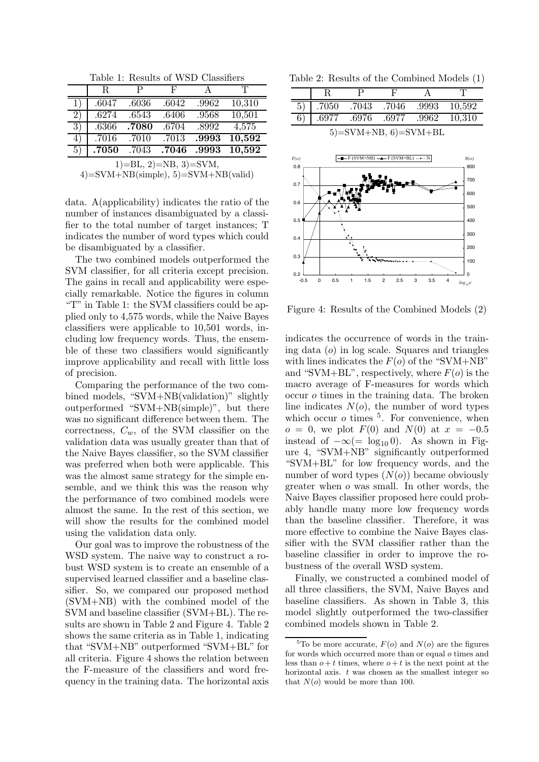Table 1: Results of WSD Classifiers

|                                        | $\mathbf R$ | P     | F     | А     | T      |  |
|----------------------------------------|-------------|-------|-------|-------|--------|--|
| 1)                                     | .6047       | .6036 | .6042 | .9962 | 10,310 |  |
| 2)                                     | .6274       | .6543 | .6406 | .9568 | 10,501 |  |
| 3)                                     | .6366       | .7080 | .6704 | .8992 | 4,575  |  |
| 4)                                     | .7016       | .7010 | .7013 | .9993 | 10,592 |  |
| 5)                                     | .7050       | .7043 | .7046 | .9993 | 10,592 |  |
| $1)=BL, 2)=NB, 3)=SVM,$                |             |       |       |       |        |  |
| $4)$ =SVM+NB(simple), 5)=SVM+NB(valid) |             |       |       |       |        |  |

data. A(applicability) indicates the ratio of the number of instances disambiguated by a classifier to the total number of target instances; T indicates the number of word types which could be disambiguated by a classifier.

The two combined models outperformed the SVM classifier, for all criteria except precision. The gains in recall and applicability were especially remarkable. Notice the figures in column "T" in Table 1: the SVM classifiers could be applied only to 4,575 words, while the Naive Bayes classifiers were applicable to 10,501 words, including low frequency words. Thus, the ensemble of these two classifiers would significantly improve applicability and recall with little loss of precision.

Comparing the performance of the two combined models, "SVM+NB(validation)" slightly outperformed "SVM+NB(simple)", but there was no significant difference between them. The correctness, C*w*, of the SVM classifier on the validation data was usually greater than that of the Naive Bayes classifier, so the SVM classifier was preferred when both were applicable. This was the almost same strategy for the simple ensemble, and we think this was the reason why the performance of two combined models were almost the same. In the rest of this section, we will show the results for the combined model using the validation data only.

Our goal was to improve the robustness of the WSD system. The naive way to construct a robust WSD system is to create an ensemble of a supervised learned classifier and a baseline classifier. So, we compared our proposed method (SVM+NB) with the combined model of the SVM and baseline classifier (SVM+BL). The results are shown in Table 2 and Figure 4. Table 2 shows the same criteria as in Table 1, indicating that "SVM+NB" outperformed "SVM+BL" for all criteria. Figure 4 shows the relation between the F-measure of the classifiers and word frequency in the training data. The horizontal axis

Table 2: Results of the Combined Models (1)

| 5                      | .7050 | .7043 | .7046 | .9993 | 10,592 |
|------------------------|-------|-------|-------|-------|--------|
|                        | .6977 | .6976 | .6977 | .9962 | 10.310 |
| $5)=SVM+NB, 6)=SVM+BL$ |       |       |       |       |        |



Figure 4: Results of the Combined Models (2)

indicates the occurrence of words in the training data  $(o)$  in log scale. Squares and triangles with lines indicates the  $F(o)$  of the "SVM+NB" and "SVM+BL", respectively, where  $F(o)$  is the macro average of F-measures for words which occur o times in the training data. The broken line indicates  $N(o)$ , the number of word types which occur  $\sigma$  times  $^5$ . For convenience, when  $o = 0$ , we plot  $F(0)$  and  $N(0)$  at  $x = -0.5$ instead of  $-\infty (= \log_{10} 0)$ . As shown in Figure 4, "SVM+NB" significantly outperformed "SVM+BL" for low frequency words, and the number of word types  $(N(o))$  became obviously greater when o was small. In other words, the Naive Bayes classifier proposed here could probably handle many more low frequency words than the baseline classifier. Therefore, it was more effective to combine the Naive Bayes classifier with the SVM classifier rather than the baseline classifier in order to improve the robustness of the overall WSD system.

Finally, we constructed a combined model of all three classifiers, the SVM, Naive Bayes and baseline classifiers. As shown in Table 3, this model slightly outperformed the two-classifier combined models shown in Table 2.

<sup>&</sup>lt;sup>5</sup>To be more accurate,  $F(o)$  and  $N(o)$  are the figures for words which occurred more than or equal *o* times and less than  $o + t$  times, where  $o + t$  is the next point at the horizontal axis. *t* was chosen as the smallest integer so that  $N(o)$  would be more than 100.